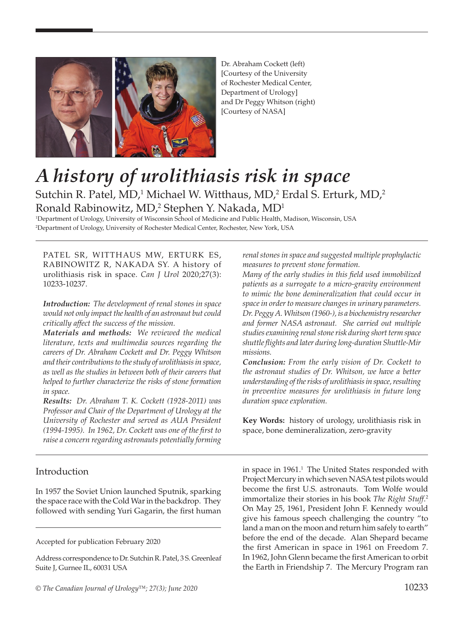

Dr. Abraham Cockett (left) [Courtesy of the University of Rochester Medical Center, Department of Urology] and Dr Peggy Whitson (right) [Courtesy of NASA]

# *A history of urolithiasis risk in space*  Sutchin R. Patel, MD,<sup>1</sup> Michael W. Witthaus, MD,<sup>2</sup> Erdal S. Erturk, MD,<sup>2</sup> Ronald Rabinowitz, MD,<sup>2</sup> Stephen Y. Nakada, MD<sup>1</sup>

1 Department of Urology, University of Wisconsin School of Medicine and Public Health, Madison, Wisconsin, USA 2 Department of Urology, University of Rochester Medical Center, Rochester, New York, USA

PATEL SR, WITTHAUS MW, ERTURK ES, RABINOWITZ R, NAKADA SY. A history of urolithiasis risk in space. *Can J Urol* 2020;27(3): 10233-10237.

*Introduction: The development of renal stones in space would not only impact the health of an astronaut but could critically affect the success of the mission.*

*Materials and methods: We reviewed the medical literature, texts and multimedia sources regarding the careers of Dr. Abraham Cockett and Dr. Peggy Whitson and their contributions to the study of urolithiasis in space, as well as the studies in between both of their careers that helped to further characterize the risks of stone formation in space.*

*Results: Dr. Abraham T. K. Cockett (1928-2011) was Professor and Chair of the Department of Urology at the University of Rochester and served as AUA President (1994-1995). In 1962, Dr. Cockett was one of the first to raise a concern regarding astronauts potentially forming* 

## Introduction

In 1957 the Soviet Union launched Sputnik, sparking the space race with the Cold War in the backdrop. They followed with sending Yuri Gagarin, the first human *renal stones in space and suggested multiple prophylactic measures to prevent stone formation.*

*Many of the early studies in this field used immobilized patients as a surrogate to a micro-gravity environment to mimic the bone demineralization that could occur in space in order to measure changes in urinary parameters. Dr. Peggy A. Whitson (1960-), is a biochemistry researcher and former NASA astronaut. She carried out multiple studies examining renal stone risk during short term space shuttle flights and later during long-duration Shuttle-Mir missions.* 

*Conclusion: From the early vision of Dr. Cockett to the astronaut studies of Dr. Whitson, we have a better understanding of the risks of urolithiasis in space, resulting in preventive measures for urolithiasis in future long duration space exploration.*

**Key Words:** history of urology, urolithiasis risk in space, bone demineralization, zero-gravity

in space in 1961.<sup>1</sup> The United States responded with Project Mercury in which seven NASA test pilots would become the first U.S. astronauts. Tom Wolfe would immortalize their stories in his book *The Right Stuff*. 2 On May 25, 1961, President John F. Kennedy would give his famous speech challenging the country "to land a man on the moon and return him safely to earth" before the end of the decade. Alan Shepard became the first American in space in 1961 on Freedom 7. In 1962, John Glenn became the first American to orbit the Earth in Friendship 7. The Mercury Program ran

Accepted for publication February 2020

Address correspondence to Dr. Sutchin R. Patel, 3 S. Greenleaf Suite J, Gurnee IL, 60031 USA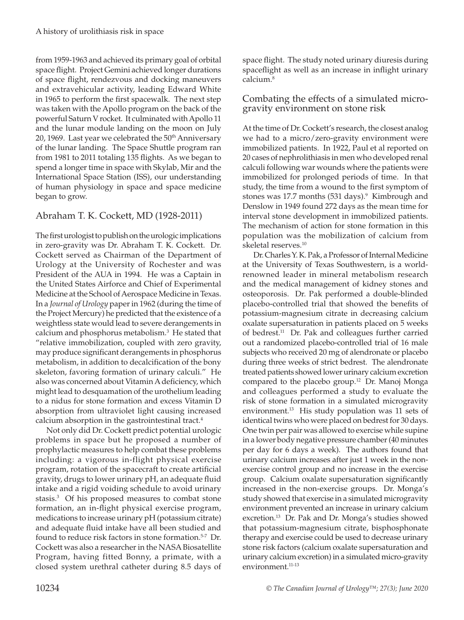from 1959-1963 and achieved its primary goal of orbital space flight. Project Gemini achieved longer durations of space flight, rendezvous and docking maneuvers and extravehicular activity, leading Edward White in 1965 to perform the first spacewalk. The next step was taken with the Apollo program on the back of the powerful Saturn V rocket. It culminated with Apollo 11 and the lunar module landing on the moon on July 20, 1969. Last year we celebrated the  $50<sup>th</sup>$  Anniversary of the lunar landing. The Space Shuttle program ran from 1981 to 2011 totaling 135 flights. As we began to spend a longer time in space with Skylab, Mir and the International Space Station (ISS), our understanding of human physiology in space and space medicine began to grow.

# Abraham T. K. Cockett, MD (1928-2011)

The first urologist to publish on the urologic implications in zero-gravity was Dr. Abraham T. K. Cockett. Dr. Cockett served as Chairman of the Department of Urology at the University of Rochester and was President of the AUA in 1994. He was a Captain in the United States Airforce and Chief of Experimental Medicine at the School of Aerospace Medicine in Texas. In a *Journal of Urology* paper in 1962 (during the time of the Project Mercury) he predicted that the existence of a weightless state would lead to severe derangements in calcium and phosphorus metabolism.3 He stated that "relative immobilization, coupled with zero gravity, may produce significant derangements in phosphorus metabolism, in addition to decalcification of the bony skeleton, favoring formation of urinary calculi." He also was concerned about Vitamin A deficiency, which might lead to desquamation of the urothelium leading to a nidus for stone formation and excess Vitamin D absorption from ultraviolet light causing increased calcium absorption in the gastrointestinal tract.<sup>4</sup>

Not only did Dr. Cockett predict potential urologic problems in space but he proposed a number of prophylactic measures to help combat these problems including: a vigorous in-flight physical exercise program, rotation of the spacecraft to create artificial gravity, drugs to lower urinary pH, an adequate fluid intake and a rigid voiding schedule to avoid urinary stasis.<sup>3</sup> Of his proposed measures to combat stone formation, an in-flight physical exercise program, medications to increase urinary pH (potassium citrate) and adequate fluid intake have all been studied and found to reduce risk factors in stone formation.<sup>5-7</sup> Dr. Cockett was also a researcher in the NASA Biosatellite Program, having fitted Bonny, a primate, with a closed system urethral catheter during 8.5 days of space flight. The study noted urinary diuresis during spaceflight as well as an increase in inflight urinary calcium.8

### Combating the effects of a simulated microgravity environment on stone risk

At the time of Dr. Cockett's research, the closest analog we had to a micro/zero-gravity environment were immobilized patients. In 1922, Paul et al reported on 20 cases of nephrolithiasis in men who developed renal calculi following war wounds where the patients were immobilized for prolonged periods of time. In that study, the time from a wound to the first symptom of stones was 17.7 months (531 days).<sup>9</sup> Kimbrough and Denslow in 1949 found 272 days as the mean time for interval stone development in immobilized patients. The mechanism of action for stone formation in this population was the mobilization of calcium from skeletal reserves.<sup>10</sup>

Dr. Charles Y. K. Pak, a Professor of Internal Medicine at the University of Texas Southwestern, is a worldrenowned leader in mineral metabolism research and the medical management of kidney stones and osteoporosis. Dr. Pak performed a double-blinded placebo-controlled trial that showed the benefits of potassium-magnesium citrate in decreasing calcium oxalate supersaturation in patients placed on 5 weeks of bedrest.<sup>11</sup> Dr. Pak and colleagues further carried out a randomized placebo-controlled trial of 16 male subjects who received 20 mg of alendronate or placebo during three weeks of strict bedrest. The alendronate treated patients showed lower urinary calcium excretion compared to the placebo group.<sup>12</sup> Dr. Manoj Monga and colleagues performed a study to evaluate the risk of stone formation in a simulated microgravity environment.13 His study population was 11 sets of identical twins who were placed on bedrest for 30 days. One twin per pair was allowed to exercise while supine in a lower body negative pressure chamber (40 minutes per day for 6 days a week). The authors found that urinary calcium increases after just 1 week in the nonexercise control group and no increase in the exercise group. Calcium oxalate supersaturation significantly increased in the non-exercise groups. Dr. Monga's study showed that exercise in a simulated microgravity environment prevented an increase in urinary calcium excretion.<sup>13</sup> Dr. Pak and Dr. Monga's studies showed that potassium-magnesium citrate, bisphosphonate therapy and exercise could be used to decrease urinary stone risk factors (calcium oxalate supersaturation and urinary calcium excretion) in a simulated micro-gravity environment.<sup>11-13</sup>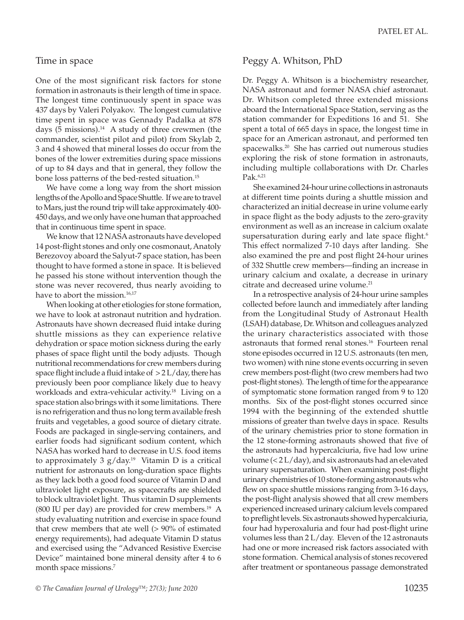#### Time in space

One of the most significant risk factors for stone formation in astronauts is their length of time in space. The longest time continuously spent in space was 437 days by Valeri Polyakov. The longest cumulative time spent in space was Gennady Padalka at 878 days  $(5 \text{ missions})$ .<sup>14</sup> A study of three crewmen (the commander, scientist pilot and pilot) from Skylab 2, 3 and 4 showed that mineral losses do occur from the bones of the lower extremities during space missions of up to 84 days and that in general, they follow the bone loss patterns of the bed-rested situation.<sup>15</sup>

We have come a long way from the short mission lengths of the Apollo and Space Shuttle. If we are to travel to Mars, just the round trip will take approximately 400- 450 days, and we only have one human that approached that in continuous time spent in space.

We know that 12 NASA astronauts have developed 14 post-flight stones and only one cosmonaut, Anatoly Berezovoy aboard the Salyut-7 space station, has been thought to have formed a stone in space. It is believed he passed his stone without intervention though the stone was never recovered, thus nearly avoiding to have to abort the mission.<sup>16,17</sup>

When looking at other etiologies for stone formation, we have to look at astronaut nutrition and hydration. Astronauts have shown decreased fluid intake during shuttle missions as they can experience relative dehydration or space motion sickness during the early phases of space flight until the body adjusts. Though nutritional recommendations for crew members during space flight include a fluid intake of  $>$  2 L/day, there has previously been poor compliance likely due to heavy workloads and extra-vehicular activity.18 Living on a space station also brings with it some limitations. There is no refrigeration and thus no long term available fresh fruits and vegetables, a good source of dietary citrate. Foods are packaged in single-serving containers, and earlier foods had significant sodium content, which NASA has worked hard to decrease in U.S. food items to approximately 3  $g/day.<sup>19</sup>$  Vitamin D is a critical nutrient for astronauts on long-duration space flights as they lack both a good food source of Vitamin D and ultraviolet light exposure, as spacecrafts are shielded to block ultraviolet light. Thus vitamin D supplements (800 IU per day) are provided for crew members.<sup>19</sup> A study evaluating nutrition and exercise in space found that crew members that ate well (> 90% of estimated energy requirements), had adequate Vitamin D status and exercised using the "Advanced Resistive Exercise Device" maintained bone mineral density after 4 to 6 month space missions.<sup>7</sup>

### Peggy A. Whitson, PhD

Dr. Peggy A. Whitson is a biochemistry researcher, NASA astronaut and former NASA chief astronaut. Dr. Whitson completed three extended missions aboard the International Space Station, serving as the station commander for Expeditions 16 and 51. She spent a total of 665 days in space, the longest time in space for an American astronaut, and performed ten spacewalks.20 She has carried out numerous studies exploring the risk of stone formation in astronauts, including multiple collaborations with Dr. Charles  $Pak.6,21$ 

She examined 24-hour urine collections in astronauts at different time points during a shuttle mission and characterized an initial decrease in urine volume early in space flight as the body adjusts to the zero-gravity environment as well as an increase in calcium oxalate supersaturation during early and late space flight.<sup>6</sup> This effect normalized 7-10 days after landing. She also examined the pre and post flight 24-hour urines of 332 Shuttle crew members—finding an increase in urinary calcium and oxalate, a decrease in urinary citrate and decreased urine volume.<sup>21</sup>

In a retrospective analysis of 24-hour urine samples collected before launch and immediately after landing from the Longitudinal Study of Astronaut Health (LSAH) database, Dr. Whitson and colleagues analyzed the urinary characteristics associated with those astronauts that formed renal stones.<sup>16</sup> Fourteen renal stone episodes occurred in 12 U.S. astronauts (ten men, two women) with nine stone events occurring in seven crew members post-flight (two crew members had two post-flight stones). The length of time for the appearance of symptomatic stone formation ranged from 9 to 120 months. Six of the post-flight stones occurred since 1994 with the beginning of the extended shuttle missions of greater than twelve days in space. Results of the urinary chemistries prior to stone formation in the 12 stone-forming astronauts showed that five of the astronauts had hypercalciuria, five had low urine volume (< 2 L/day), and six astronauts had an elevated urinary supersaturation. When examining post-flight urinary chemistries of 10 stone-forming astronauts who flew on space shuttle missions ranging from 3-16 days, the post-flight analysis showed that all crew members experienced increased urinary calcium levels compared to preflight levels. Six astronauts showed hypercalciuria, four had hyperoxaluria and four had post-flight urine volumes less than 2 L/day. Eleven of the 12 astronauts had one or more increased risk factors associated with stone formation. Chemical analysis of stones recovered after treatment or spontaneous passage demonstrated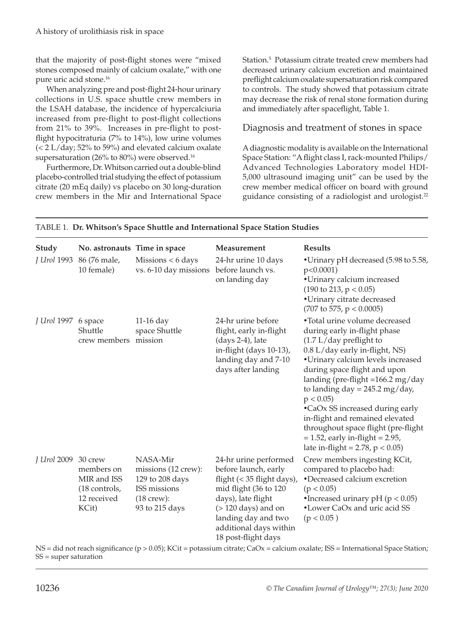that the majority of post-flight stones were "mixed stones composed mainly of calcium oxalate," with one pure uric acid stone.16

When analyzing pre and post-flight 24-hour urinary collections in U.S. space shuttle crew members in the LSAH database, the incidence of hypercalciuria increased from pre-flight to post-flight collections from 21% to 39%. Increases in pre-flight to postflight hypocitraturia (7% to 14%), low urine volumes (< 2 L/day; 52% to 59%) and elevated calcium oxalate supersaturation (26% to 80%) were observed.<sup>16</sup>

Furthermore, Dr. Whitson carried out a double-blind placebo-controlled trial studying the effect of potassium citrate (20 mEq daily) vs placebo on 30 long-duration crew members in the Mir and International Space

Station.5 Potassium citrate treated crew members had decreased urinary calcium excretion and maintained preflight calcium oxalate supersaturation risk compared to controls. The study showed that potassium citrate may decrease the risk of renal stone formation during and immediately after spaceflight, Table 1.

#### Diagnosis and treatment of stones in space

A diagnostic modality is available on the International Space Station: "A flight class I, rack-mounted Philips/ Advanced Technologies Laboratory model HDI-5,000 ultrasound imaging unit" can be used by the crew member medical officer on board with ground guidance consisting of a radiologist and urologist.<sup>22</sup>

| Study               | No. astronauts Time in space                                       |                                                                                                      | Measurement                                                                                                                                                                                                                  | <b>Results</b>                                                                                                                                                                                                                                                                                                                                                                                                                                                                       |
|---------------------|--------------------------------------------------------------------|------------------------------------------------------------------------------------------------------|------------------------------------------------------------------------------------------------------------------------------------------------------------------------------------------------------------------------------|--------------------------------------------------------------------------------------------------------------------------------------------------------------------------------------------------------------------------------------------------------------------------------------------------------------------------------------------------------------------------------------------------------------------------------------------------------------------------------------|
| J Urol 1993         | 86 (76 male,<br>10 female)                                         | Missions < 6 days<br>vs. 6-10 day missions                                                           | 24-hr urine 10 days<br>before launch vs.<br>on landing day                                                                                                                                                                   | •Urinary pH decreased (5.98 to 5.58,<br>$p<0.0001$ )<br>•Urinary calcium increased<br>$(190 \text{ to } 213, p < 0.05)$<br>•Urinary citrate decreased<br>$(707 \text{ to } 575, p < 0.0005)$                                                                                                                                                                                                                                                                                         |
| J Urol 1997 6 space | Shuttle<br>crew members mission                                    | $11-16$ day<br>space Shuttle                                                                         | 24-hr urine before<br>flight, early in-flight<br>$(days 2-4)$ , late<br>in-flight (days 10-13),<br>landing day and 7-10<br>days after landing                                                                                | •Total urine volume decreased<br>during early in-flight phase<br>$(1.7 L/day)$ preflight to<br>0.8 L/day early in-flight, NS)<br>•Urinary calcium levels increased<br>during space flight and upon<br>landing (pre-flight =166.2 mg/day<br>to landing day = $245.2$ mg/day,<br>p < 0.05<br>•CaOx SS increased during early<br>in-flight and remained elevated<br>throughout space flight (pre-flight<br>$= 1.52$ , early in-flight $= 2.95$ ,<br>late in-flight = 2.78, $p < 0.05$ ) |
| J Urol 2009 30 crew | members on<br>MIR and ISS<br>(18 controls,<br>12 received<br>KCit) | NASA-Mir<br>missions (12 crew):<br>129 to 208 days<br>ISS missions<br>$(18$ crew):<br>93 to 215 days | 24-hr urine performed<br>before launch, early<br>flight (< 35 flight days),<br>mid flight (36 to 120<br>days), late flight<br>$($ > 120 days) and on<br>landing day and two<br>additional days within<br>18 post-flight days | Crew members ingesting KCit,<br>compared to placebo had:<br>•Decreased calcium excretion<br>(p < 0.05)<br>•Increased urinary pH ( $p < 0.05$ )<br>•Lower CaOx and uric acid SS<br>(p < 0.05)                                                                                                                                                                                                                                                                                         |

#### TABLE 1. **Dr. Whitson's Space Shuttle and International Space Station Studies**

NS = did not reach significance (p > 0.05); KCit = potassium citrate; CaOx = calcium oxalate; ISS = International Space Station; SS = super saturation